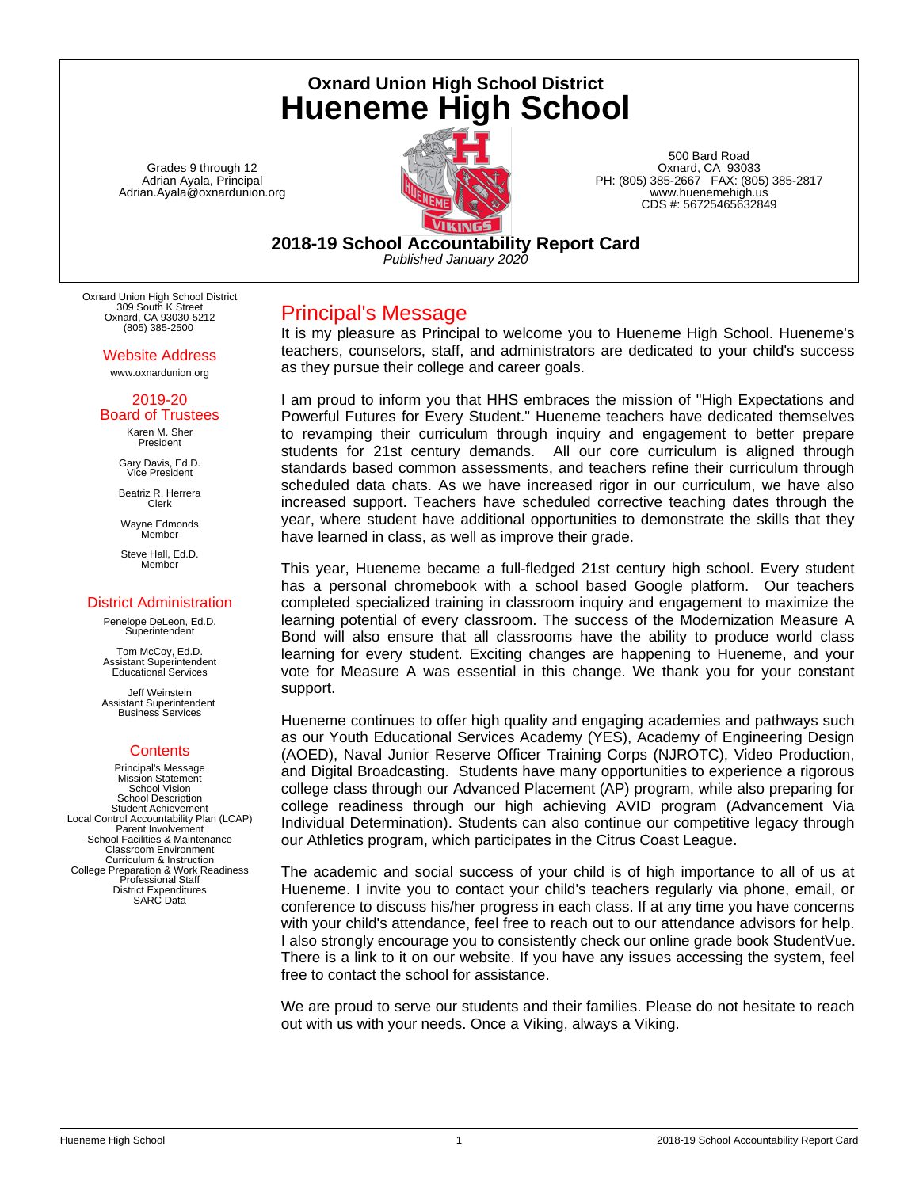**Oxnard Union High School District Hueneme High School**

Grades 9 through 12 Adrian Ayala, Principal Adrian.Ayala@oxnardunion.org



500 Bard Road Oxnard, CA 93033 PH: (805) 385-2667 FAX: (805) 385-2817 www.huenemehigh.us CDS #: 56725465632849

**2018-19 School Accountability Report Card** *Published January 2020*

Oxnard Union High School District 309 South K Street Oxnard, CA 93030-5212 (805) 385-2500

> Website Address www.oxnardunion.org

#### 2019-20 Board of Trustees

Karen M. Sher President

Gary Davis, Ed.D. Vice President

Beatriz R. Herrera Clerk

Wayne Edmonds Member

Steve Hall, Ed.D. Member

## District Administration

Penelope DeLeon, Ed.D. **Superintendent** 

Tom McCoy, Ed.D. Assistant Superintendent Educational Services

Jeff Weinstein Assistant Superintendent Business Services

## **Contents**

Principal's Message Mission Statement School Vision School Description Student Achievement Local Control Accountability Plan (LCAP) Parent Involvement School Facilities & Maintenance Classroom Environment Curriculum & Instruction College Preparation & Work Readiness Professional Staff District Expenditures SARC Data

Principal's Message

It is my pleasure as Principal to welcome you to Hueneme High School. Hueneme's teachers, counselors, staff, and administrators are dedicated to your child's success as they pursue their college and career goals.

I am proud to inform you that HHS embraces the mission of "High Expectations and Powerful Futures for Every Student." Hueneme teachers have dedicated themselves to revamping their curriculum through inquiry and engagement to better prepare students for 21st century demands. All our core curriculum is aligned through standards based common assessments, and teachers refine their curriculum through scheduled data chats. As we have increased rigor in our curriculum, we have also increased support. Teachers have scheduled corrective teaching dates through the year, where student have additional opportunities to demonstrate the skills that they have learned in class, as well as improve their grade.

This year, Hueneme became a full-fledged 21st century high school. Every student has a personal chromebook with a school based Google platform. Our teachers completed specialized training in classroom inquiry and engagement to maximize the learning potential of every classroom. The success of the Modernization Measure A Bond will also ensure that all classrooms have the ability to produce world class learning for every student. Exciting changes are happening to Hueneme, and your vote for Measure A was essential in this change. We thank you for your constant support.

Hueneme continues to offer high quality and engaging academies and pathways such as our Youth Educational Services Academy (YES), Academy of Engineering Design (AOED), Naval Junior Reserve Officer Training Corps (NJROTC), Video Production, and Digital Broadcasting. Students have many opportunities to experience a rigorous college class through our Advanced Placement (AP) program, while also preparing for college readiness through our high achieving AVID program (Advancement Via Individual Determination). Students can also continue our competitive legacy through our Athletics program, which participates in the Citrus Coast League.

The academic and social success of your child is of high importance to all of us at Hueneme. I invite you to contact your child's teachers regularly via phone, email, or conference to discuss his/her progress in each class. If at any time you have concerns with your child's attendance, feel free to reach out to our attendance advisors for help. I also strongly encourage you to consistently check our online grade book StudentVue. There is a link to it on our website. If you have any issues accessing the system, feel free to contact the school for assistance.

We are proud to serve our students and their families. Please do not hesitate to reach out with us with your needs. Once a Viking, always a Viking.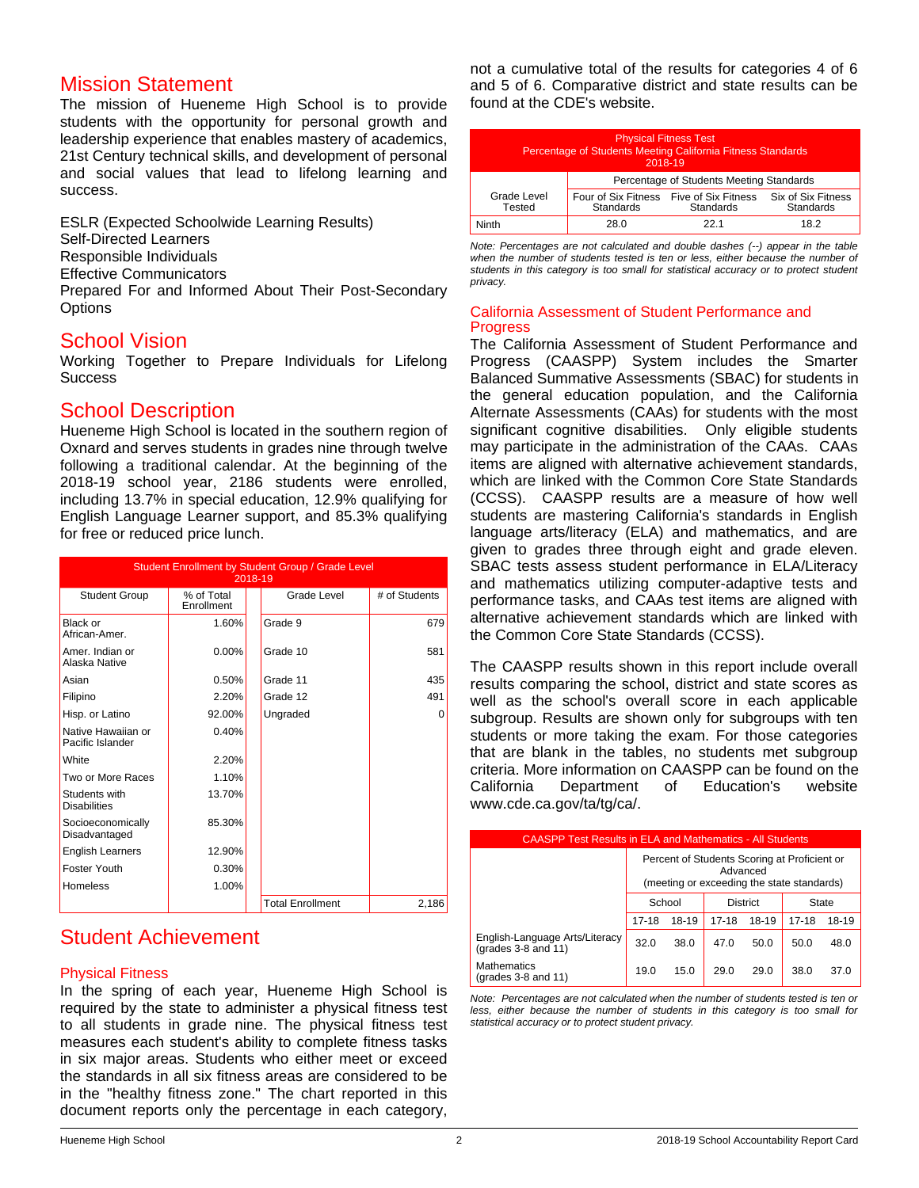## Mission Statement

The mission of Hueneme High School is to provide students with the opportunity for personal growth and leadership experience that enables mastery of academics, 21st Century technical skills, and development of personal and social values that lead to lifelong learning and success.

ESLR (Expected Schoolwide Learning Results) Self-Directed Learners Responsible Individuals Effective Communicators Prepared For and Informed About Their Post-Secondary **Options** 

## School Vision

Working Together to Prepare Individuals for Lifelong **Success** 

## School Description

Hueneme High School is located in the southern region of Oxnard and serves students in grades nine through twelve following a traditional calendar. At the beginning of the 2018-19 school year, 2186 students were enrolled, including 13.7% in special education, 12.9% qualifying for English Language Learner support, and 85.3% qualifying for free or reduced price lunch.

| Student Enrollment by Student Group / Grade Level<br>2018-19 |                          |  |                         |               |
|--------------------------------------------------------------|--------------------------|--|-------------------------|---------------|
| <b>Student Group</b>                                         | % of Total<br>Enrollment |  | Grade Level             | # of Students |
| Black or<br>African-Amer.                                    | 1.60%                    |  | Grade 9                 | 679           |
| Amer. Indian or<br>Alaska Native                             | $0.00\%$                 |  | Grade 10                | 581           |
| Asian                                                        | 0.50%                    |  | Grade 11                | 435           |
| Filipino                                                     | 2.20%                    |  | Grade 12                | 491           |
| Hisp. or Latino                                              | 92.00%                   |  | Ungraded                | 0             |
| Native Hawaiian or<br>Pacific Islander                       | 0.40%                    |  |                         |               |
| White                                                        | 2.20%                    |  |                         |               |
| Two or More Races                                            | 1.10%                    |  |                         |               |
| Students with<br><b>Disabilities</b>                         | 13.70%                   |  |                         |               |
| Socioeconomically<br>Disadvantaged                           | 85.30%                   |  |                         |               |
| <b>English Learners</b>                                      | 12.90%                   |  |                         |               |
| Foster Youth                                                 | 0.30%                    |  |                         |               |
| <b>Homeless</b>                                              | 1.00%                    |  |                         |               |
|                                                              |                          |  | <b>Total Enrollment</b> | 2.186         |

# Student Achievement

## Physical Fitness

In the spring of each year, Hueneme High School is required by the state to administer a physical fitness test to all students in grade nine. The physical fitness test measures each student's ability to complete fitness tasks in six major areas. Students who either meet or exceed the standards in all six fitness areas are considered to be in the "healthy fitness zone." The chart reported in this document reports only the percentage in each category,

not a cumulative total of the results for categories 4 of 6 and 5 of 6. Comparative district and state results can be found at the CDE's website.

| <b>Physical Fitness Test</b><br>Percentage of Students Meeting California Fitness Standards<br>2018-19 |                                                      |           |                                        |  |
|--------------------------------------------------------------------------------------------------------|------------------------------------------------------|-----------|----------------------------------------|--|
|                                                                                                        | Percentage of Students Meeting Standards             |           |                                        |  |
| Grade Level<br>Tested                                                                                  | Four of Six Fitness Five of Six Fitness<br>Standards | Standards | Six of Six Fitness<br><b>Standards</b> |  |
| Ninth                                                                                                  | 28.0                                                 | 221       | 18.2                                   |  |

*Note: Percentages are not calculated and double dashes (--) appear in the table when the number of students tested is ten or less, either because the number of students in this category is too small for statistical accuracy or to protect student privacy.*

#### California Assessment of Student Performance and Progress

The California Assessment of Student Performance and Progress (CAASPP) System includes the Smarter Balanced Summative Assessments (SBAC) for students in the general education population, and the California Alternate Assessments (CAAs) for students with the most significant cognitive disabilities. Only eligible students may participate in the administration of the CAAs. CAAs items are aligned with alternative achievement standards, which are linked with the Common Core State Standards (CCSS). CAASPP results are a measure of how well students are mastering California's standards in English language arts/literacy (ELA) and mathematics, and are given to grades three through eight and grade eleven. SBAC tests assess student performance in ELA/Literacy and mathematics utilizing computer-adaptive tests and performance tasks, and CAAs test items are aligned with alternative achievement standards which are linked with the Common Core State Standards (CCSS).

The CAASPP results shown in this report include overall results comparing the school, district and state scores as well as the school's overall score in each applicable subgroup. Results are shown only for subgroups with ten students or more taking the exam. For those categories that are blank in the tables, no students met subgroup criteria. More information on CAASPP can be found on the California Department of Education's website www.cde.ca.gov/ta/tg/ca/.

| <b>CAASPP Test Results in ELA and Mathematics - All Students</b> |                                                                                                        |      |                 |       |           |       |  |
|------------------------------------------------------------------|--------------------------------------------------------------------------------------------------------|------|-----------------|-------|-----------|-------|--|
|                                                                  | Percent of Students Scoring at Proficient or<br>Advanced<br>(meeting or exceeding the state standards) |      |                 |       |           |       |  |
|                                                                  | School                                                                                                 |      | <b>District</b> |       | State     |       |  |
|                                                                  | 18-19<br>17-18                                                                                         |      | $17 - 18$       | 18-19 | $17 - 18$ | 18-19 |  |
| English-Language Arts/Literacy<br>(grades $3-8$ and $11$ )       | 32.0                                                                                                   | 38.0 | 47.0            | 50.0  | 50.0      | 48.0  |  |
| Mathematics<br>$(\text{grades } 3-8 \text{ and } 11)$            | 19.0                                                                                                   | 15.0 | 29.0            | 29.0  | 38.0      | 37.0  |  |

*Note: Percentages are not calculated when the number of students tested is ten or less, either because the number of students in this category is too small for statistical accuracy or to protect student privacy.*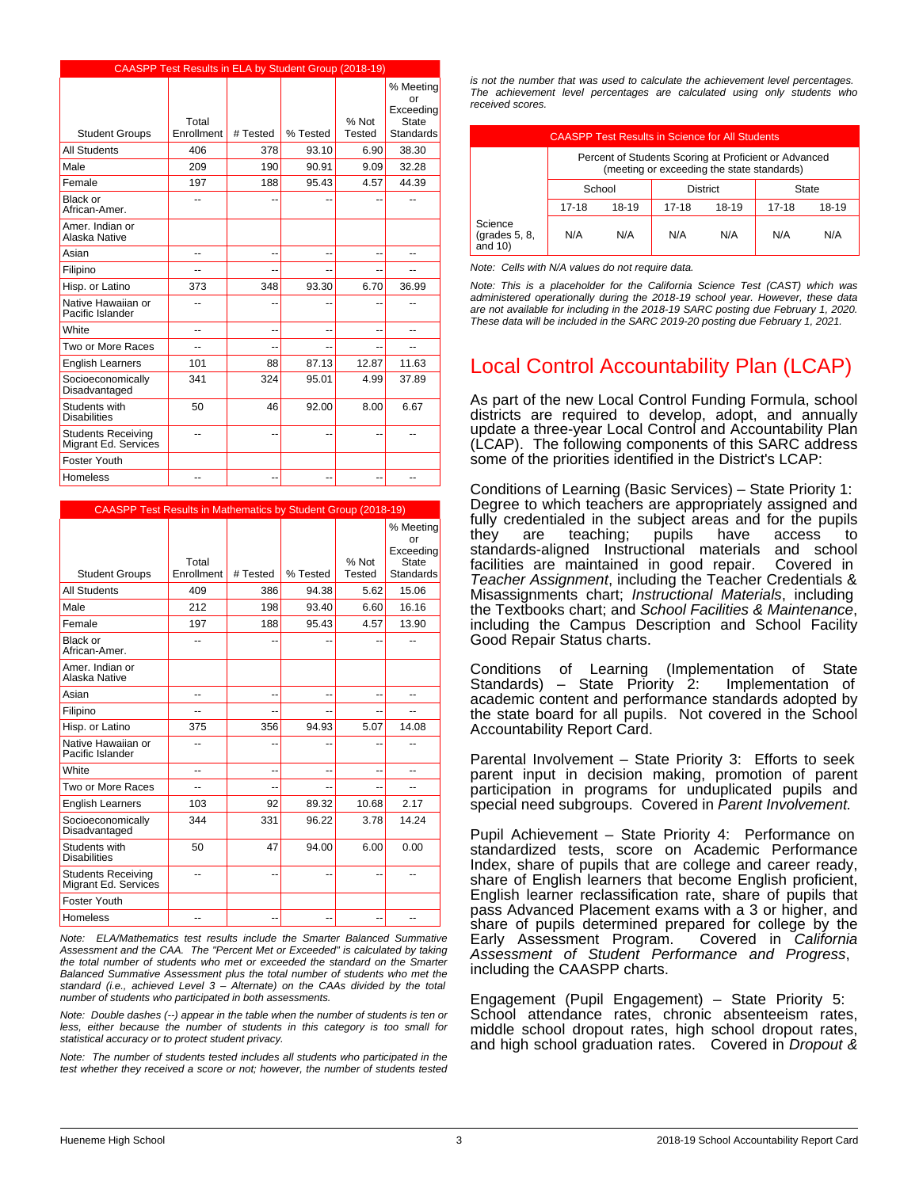|                                                   | CAASPP Test Results in ELA by Student Group (2018-19) |          |          |               |                                              |
|---------------------------------------------------|-------------------------------------------------------|----------|----------|---------------|----------------------------------------------|
|                                                   | Total                                                 |          |          | % Not         | % Meeting<br>or<br>Exceeding<br><b>State</b> |
| <b>Student Groups</b>                             | Enrollment                                            | # Tested | % Tested | <b>Tested</b> | <b>Standards</b>                             |
| <b>All Students</b>                               | 406                                                   | 378      | 93.10    | 6.90          | 38.30                                        |
| Male                                              | 209                                                   | 190      | 90.91    | 9.09          | 32.28                                        |
| Female                                            | 197                                                   | 188      | 95.43    | 4.57          | 44.39                                        |
| Black or<br>African-Amer.                         | --                                                    | --       |          | --            | --                                           |
| Amer, Indian or<br>Alaska Native                  |                                                       |          |          |               |                                              |
| Asian                                             | --                                                    | --       | --       | --            | --                                           |
| Filipino                                          | --                                                    | --       |          | --            | $-$                                          |
| Hisp. or Latino                                   | 373                                                   | 348      | 93.30    | 6.70          | 36.99                                        |
| Native Hawaiian or<br>Pacific Islander            |                                                       | --       |          | --            |                                              |
| White                                             | --                                                    | --       | --       | --            | --                                           |
| Two or More Races                                 | --                                                    | $-$      |          | --            | --                                           |
| <b>English Learners</b>                           | 101                                                   | 88       | 87.13    | 12.87         | 11.63                                        |
| Socioeconomically<br>Disadvantaged                | 341                                                   | 324      | 95.01    | 4.99          | 37.89                                        |
| Students with<br><b>Disabilities</b>              | 50                                                    | 46       | 92.00    | 8.00          | 6.67                                         |
| <b>Students Receiving</b><br>Migrant Ed. Services | --                                                    | --       |          | --            |                                              |
| Foster Youth                                      |                                                       |          |          |               |                                              |
| Homeless                                          | --                                                    | --       | --       | --            | --                                           |

|                                                   | <b>CAASPP Test Results in Mathematics by Student Group (2018-19)</b> |          |          |                 |                              |  |  |
|---------------------------------------------------|----------------------------------------------------------------------|----------|----------|-----------------|------------------------------|--|--|
|                                                   |                                                                      |          |          |                 | % Meeting<br>or<br>Exceeding |  |  |
| <b>Student Groups</b>                             | Total<br>Enrollment                                                  | # Tested | % Tested | % Not<br>Tested | State<br><b>Standards</b>    |  |  |
|                                                   |                                                                      |          |          |                 |                              |  |  |
| <b>All Students</b>                               | 409                                                                  | 386      | 94.38    | 5.62            | 15.06                        |  |  |
| Male                                              | 212                                                                  | 198      | 93.40    | 6.60            | 16.16                        |  |  |
| Female                                            | 197                                                                  | 188      | 95.43    | 4.57            | 13.90                        |  |  |
| Black or<br>African-Amer.                         | --                                                                   | --       |          |                 |                              |  |  |
| Amer, Indian or<br>Alaska Native                  |                                                                      |          |          |                 |                              |  |  |
| Asian                                             | --                                                                   | --       | --       | --              | --                           |  |  |
| Filipino                                          | $\overline{a}$                                                       | --       |          |                 | $\overline{a}$               |  |  |
| Hisp. or Latino                                   | 375                                                                  | 356      | 94.93    | 5.07            | 14.08                        |  |  |
| Native Hawaiian or<br>Pacific Islander            | --                                                                   | --       |          |                 | --                           |  |  |
| White                                             | ۵.                                                                   | --       | --       | --              | --                           |  |  |
| Two or More Races                                 | --                                                                   | --       |          |                 | --                           |  |  |
| <b>English Learners</b>                           | 103                                                                  | 92       | 89.32    | 10.68           | 2.17                         |  |  |
| Socioeconomically<br>Disadvantaged                | 344                                                                  | 331      | 96.22    | 3.78            | 14.24                        |  |  |
| Students with<br><b>Disabilities</b>              | 50                                                                   | 47       | 94.00    | 6.00            | 0.00                         |  |  |
| <b>Students Receiving</b><br>Migrant Ed. Services | --                                                                   | --       |          |                 | --                           |  |  |
| <b>Foster Youth</b>                               |                                                                      |          |          |                 |                              |  |  |
| Homeless                                          | --                                                                   | --       | --       | --              | --                           |  |  |

*Note: ELA/Mathematics test results include the Smarter Balanced Summative Assessment and the CAA. The "Percent Met or Exceeded" is calculated by taking the total number of students who met or exceeded the standard on the Smarter Balanced Summative Assessment plus the total number of students who met the standard (i.e., achieved Level 3 – Alternate) on the CAAs divided by the total number of students who participated in both assessments.*

*Note: Double dashes (--) appear in the table when the number of students is ten or less, either because the number of students in this category is too small for statistical accuracy or to protect student privacy.*

*Note: The number of students tested includes all students who participated in the test whether they received a score or not; however, the number of students tested* *is not the number that was used to calculate the achievement level percentages. The achievement level percentages are calculated using only students who received scores.*

|                                        | <b>CAASPP Test Results in Science for All Students</b>                                              |       |       |       |           |       |
|----------------------------------------|-----------------------------------------------------------------------------------------------------|-------|-------|-------|-----------|-------|
|                                        | Percent of Students Scoring at Proficient or Advanced<br>(meeting or exceeding the state standards) |       |       |       |           |       |
|                                        | School<br><b>District</b><br>State                                                                  |       |       |       |           |       |
|                                        | $17-18$                                                                                             | 18-19 | 17-18 | 18-19 | $17 - 18$ | 18-19 |
| Science<br>(grades 5, 8,<br>and $10$ ) | N/A                                                                                                 | N/A   | N/A   | N/A   | N/A       | N/A   |

*Note: Cells with N/A values do not require data.*

*Note: This is a placeholder for the California Science Test (CAST) which was administered operationally during the 2018-19 school year. However, these data are not available for including in the 2018-19 SARC posting due February 1, 2020. These data will be included in the SARC 2019-20 posting due February 1, 2021.*

# Local Control Accountability Plan (LCAP)

As part of the new Local Control Funding Formula, school districts are required to develop, adopt, and annually update a three-year Local Control and Accountability Plan (LCAP). The following components of this SARC address some of the priorities identified in the District's LCAP:

Conditions of Learning (Basic Services) – State Priority 1: Degree to which teachers are appropriately assigned and fully credentialed in the subject areas and for the pupils<br>they are teaching; pupils have access to they are teaching; pupils have access to standards-aligned Instructional materials and school facilities are maintained in good repair. *Teacher Assignment*, including the Teacher Credentials & Misassignments chart; *Instructional Materials*, including the Textbooks chart; and *School Facilities & Maintenance*, including the Campus Description and School Facility Good Repair Status charts.

Conditions of Learning (Implementation of State Standards) – State Priority  $2$ : academic content and performance standards adopted by the state board for all pupils. Not covered in the School Accountability Report Card.

Parental Involvement – State Priority 3: Efforts to seek parent input in decision making, promotion of parent participation in programs for unduplicated pupils and special need subgroups. Covered in *Parent Involvement.*

Pupil Achievement – State Priority 4: Performance on standardized tests, score on Academic Performance Index, share of pupils that are college and career ready, share of English learners that become English proficient, English learner reclassification rate, share of pupils that pass Advanced Placement exams with a 3 or higher, and share of pupils determined prepared for college by the Early Assessment Program. Covered in California Early Assessment Program. *Assessment of Student Performance and Progress*, including the CAASPP charts.

Engagement (Pupil Engagement) – State Priority 5: School attendance rates, chronic absenteeism rates, middle school dropout rates, high school dropout rates, and high school graduation rates. Covered in *Dropout &*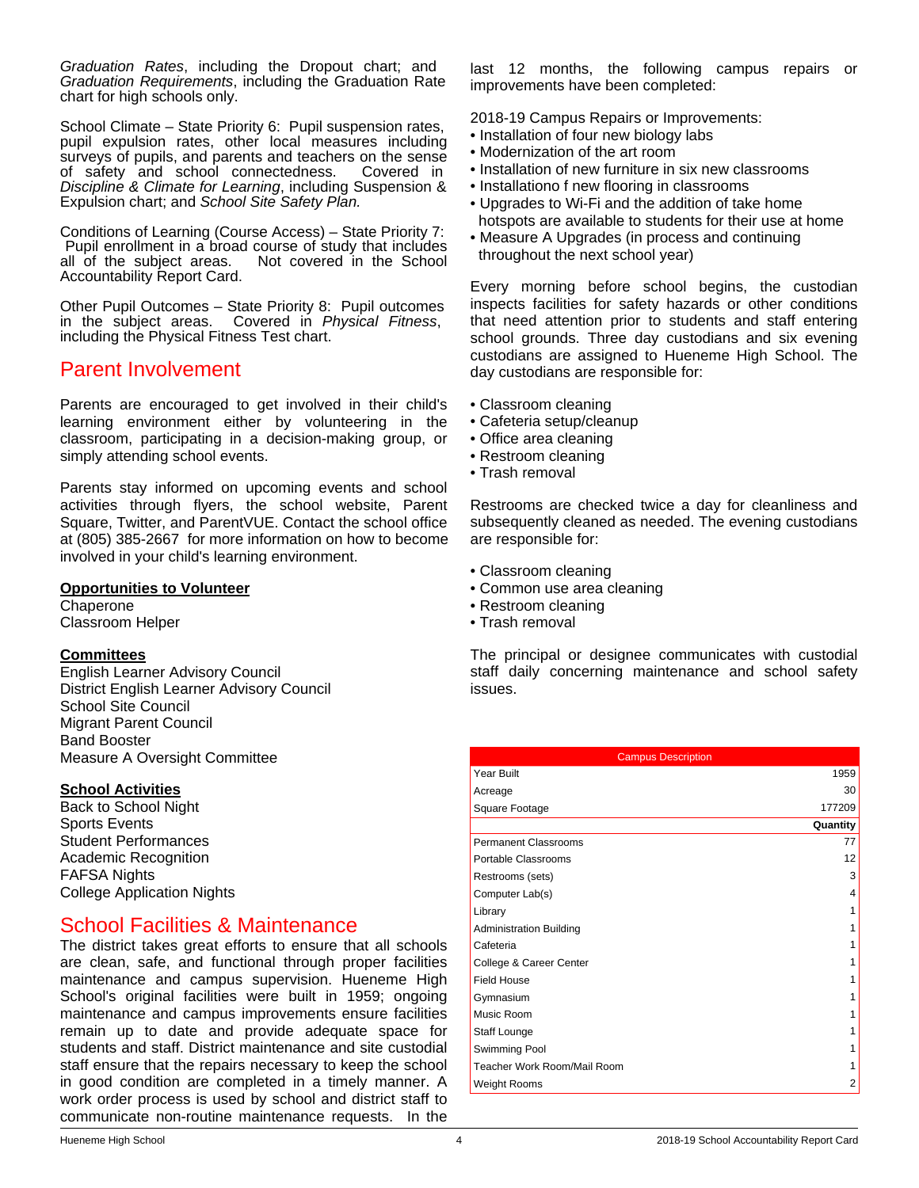*Graduation Rates*, including the Dropout chart; and *Graduation Requirements*, including the Graduation Rate chart for high schools only.

School Climate – State Priority 6: Pupil suspension rates, pupil expulsion rates, other local measures including surveys of pupils, and parents and teachers on the sense of safety and school connectedness. Covered in *Discipline & Climate for Learning*, including Suspension & Expulsion chart; and *School Site Safety Plan.*

Conditions of Learning (Course Access) – State Priority 7: Pupil enrollment in a broad course of study that includes<br>all of the subject areas. Not covered in the School Not covered in the School Accountability Report Card.

Other Pupil Outcomes – State Priority 8: Pupil outcomes in the subject areas. Covered in *Physical Fitness*, including the Physical Fitness Test chart.

## Parent Involvement

Parents are encouraged to get involved in their child's learning environment either by volunteering in the classroom, participating in a decision-making group, or simply attending school events.

Parents stay informed on upcoming events and school activities through flyers, the school website, Parent Square, Twitter, and ParentVUE. Contact the school office at (805) 385-2667 for more information on how to become involved in your child's learning environment.

## **Opportunities to Volunteer**

**Chaperone** Classroom Helper

## **Committees**

English Learner Advisory Council District English Learner Advisory Council School Site Council Migrant Parent Council Band Booster Measure A Oversight Committee

#### **School Activities**

Back to School Night Sports Events Student Performances Academic Recognition FAFSA Nights College Application Nights

# School Facilities & Maintenance

The district takes great efforts to ensure that all schools are clean, safe, and functional through proper facilities maintenance and campus supervision. Hueneme High School's original facilities were built in 1959; ongoing maintenance and campus improvements ensure facilities remain up to date and provide adequate space for students and staff. District maintenance and site custodial staff ensure that the repairs necessary to keep the school in good condition are completed in a timely manner. A work order process is used by school and district staff to communicate non-routine maintenance requests. In the last 12 months, the following campus repairs or improvements have been completed:

2018-19 Campus Repairs or Improvements:

- Installation of four new biology labs
- Modernization of the art room
- Installation of new furniture in six new classrooms
- Installationo f new flooring in classrooms
- Upgrades to Wi-Fi and the addition of take home hotspots are available to students for their use at home
- Measure A Upgrades (in process and continuing throughout the next school year)

Every morning before school begins, the custodian inspects facilities for safety hazards or other conditions that need attention prior to students and staff entering school grounds. Three day custodians and six evening custodians are assigned to Hueneme High School. The day custodians are responsible for:

- Classroom cleaning
- Cafeteria setup/cleanup
- Office area cleaning
- Restroom cleaning
- Trash removal

Restrooms are checked twice a day for cleanliness and subsequently cleaned as needed. The evening custodians are responsible for:

- Classroom cleaning
- Common use area cleaning
- Restroom cleaning
- Trash removal

The principal or designee communicates with custodial staff daily concerning maintenance and school safety issues.

| <b>Campus Description</b>      |          |
|--------------------------------|----------|
| Year Built                     | 1959     |
| Acreage                        | 30       |
| Square Footage                 | 177209   |
|                                | Quantity |
| <b>Permanent Classrooms</b>    | 77       |
| Portable Classrooms            | 12       |
| Restrooms (sets)               | 3        |
| Computer Lab(s)                | 4        |
| Library                        | 1        |
| <b>Administration Building</b> |          |
| Cafeteria                      | 1        |
| College & Career Center        | 1        |
| <b>Field House</b>             |          |
| Gymnasium                      |          |
| Music Room                     | 1        |
| Staff Lounge                   |          |
| Swimming Pool                  |          |
| Teacher Work Room/Mail Room    |          |
| <b>Weight Rooms</b>            | 2        |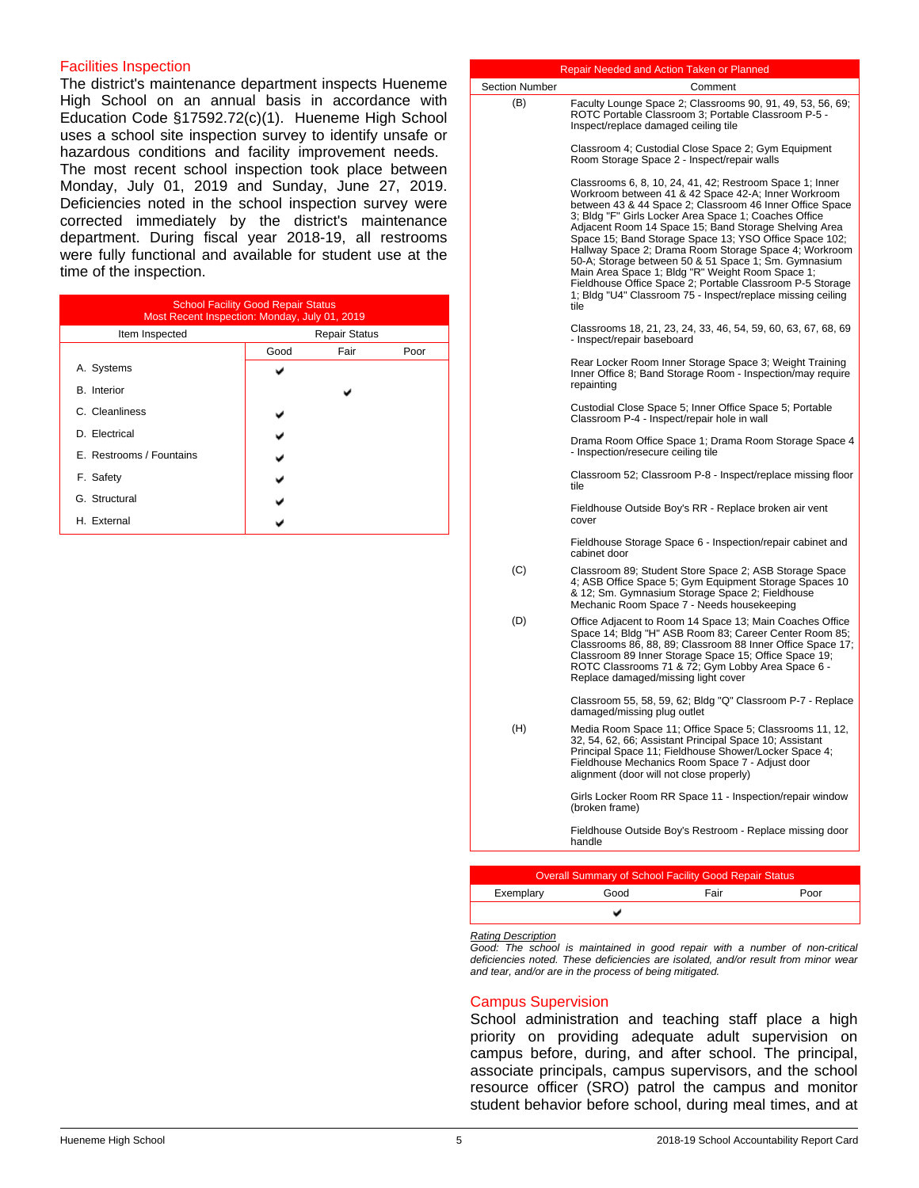#### Facilities Inspection

The district's maintenance department inspects Hueneme High School on an annual basis in accordance with Education Code §17592.72(c)(1). Hueneme High School uses a school site inspection survey to identify unsafe or hazardous conditions and facility improvement needs. The most recent school inspection took place between Monday, July 01, 2019 and Sunday, June 27, 2019. Deficiencies noted in the school inspection survey were corrected immediately by the district's maintenance department. During fiscal year 2018-19, all restrooms were fully functional and available for student use at the time of the inspection.

| <b>School Facility Good Repair Status</b><br>Most Recent Inspection: Monday, July 01, 2019 |                      |      |      |  |  |
|--------------------------------------------------------------------------------------------|----------------------|------|------|--|--|
| Item Inspected                                                                             | <b>Repair Status</b> |      |      |  |  |
|                                                                                            | Good                 | Fair | Poor |  |  |
| A. Systems                                                                                 |                      |      |      |  |  |
| <b>B.</b> Interior                                                                         |                      |      |      |  |  |
| C. Cleanliness                                                                             |                      |      |      |  |  |
| D. Electrical                                                                              |                      |      |      |  |  |
| E. Restrooms / Fountains                                                                   |                      |      |      |  |  |
| F. Safety                                                                                  |                      |      |      |  |  |
| G. Structural                                                                              |                      |      |      |  |  |
| H. External                                                                                |                      |      |      |  |  |

|                | Repair Needed and Action Taken or Planned                                                                                                                                                                                                                                                                                                                                                                                                                                                                                                                                                                                                                        |
|----------------|------------------------------------------------------------------------------------------------------------------------------------------------------------------------------------------------------------------------------------------------------------------------------------------------------------------------------------------------------------------------------------------------------------------------------------------------------------------------------------------------------------------------------------------------------------------------------------------------------------------------------------------------------------------|
| Section Number | Comment                                                                                                                                                                                                                                                                                                                                                                                                                                                                                                                                                                                                                                                          |
| (B)            | Faculty Lounge Space 2; Classrooms 90, 91, 49, 53, 56, 69;<br>ROTC Portable Classroom 3; Portable Classroom P-5 -<br>Inspect/replace damaged ceiling tile                                                                                                                                                                                                                                                                                                                                                                                                                                                                                                        |
|                | Classroom 4; Custodial Close Space 2; Gym Equipment<br>Room Storage Space 2 - Inspect/repair walls                                                                                                                                                                                                                                                                                                                                                                                                                                                                                                                                                               |
|                | Classrooms 6, 8, 10, 24, 41, 42; Restroom Space 1; Inner<br>Workroom between 41 & 42 Space 42-A; Inner Workroom<br>between 43 & 44 Space 2; Classroom 46 Inner Office Space<br>3; Bldg "F" Girls Locker Area Space 1; Coaches Office<br>Adjacent Room 14 Space 15; Band Storage Shelving Area<br>Space 15; Band Storage Space 13; YSO Office Space 102;<br>Hallway Space 2; Drama Room Storage Space 4; Workroom<br>50-A; Storage between 50 & 51 Space 1; Sm. Gymnasium<br>Main Area Space 1; Bldg "R" Weight Room Space 1;<br>Fieldhouse Office Space 2; Portable Classroom P-5 Storage<br>1; Bldg "U4" Classroom 75 - Inspect/replace missing ceiling<br>tile |
|                | Classrooms 18, 21, 23, 24, 33, 46, 54, 59, 60, 63, 67, 68, 69<br>- Inspect/repair baseboard                                                                                                                                                                                                                                                                                                                                                                                                                                                                                                                                                                      |
|                | Rear Locker Room Inner Storage Space 3; Weight Training<br>Inner Office 8; Band Storage Room - Inspection/may require<br>repainting                                                                                                                                                                                                                                                                                                                                                                                                                                                                                                                              |
|                | Custodial Close Space 5; Inner Office Space 5; Portable<br>Classroom P-4 - Inspect/repair hole in wall                                                                                                                                                                                                                                                                                                                                                                                                                                                                                                                                                           |
|                | Drama Room Office Space 1; Drama Room Storage Space 4<br>- Inspection/resecure ceiling tile                                                                                                                                                                                                                                                                                                                                                                                                                                                                                                                                                                      |
|                | Classroom 52; Classroom P-8 - Inspect/replace missing floor<br>tile                                                                                                                                                                                                                                                                                                                                                                                                                                                                                                                                                                                              |
|                | Fieldhouse Outside Boy's RR - Replace broken air vent<br>cover                                                                                                                                                                                                                                                                                                                                                                                                                                                                                                                                                                                                   |
|                | Fieldhouse Storage Space 6 - Inspection/repair cabinet and<br>cabinet door                                                                                                                                                                                                                                                                                                                                                                                                                                                                                                                                                                                       |
| (C)            | Classroom 89; Student Store Space 2; ASB Storage Space<br>4; ASB Office Space 5; Gym Equipment Storage Spaces 10<br>& 12; Sm. Gymnasium Storage Space 2; Fieldhouse<br>Mechanic Room Space 7 - Needs housekeeping                                                                                                                                                                                                                                                                                                                                                                                                                                                |
| (D)            | Office Adjacent to Room 14 Space 13; Main Coaches Office<br>Space 14; Bldg "H" ASB Room 83; Career Center Room 85;<br>Classrooms 86, 88, 89; Classroom 88 Inner Office Space 17;<br>Classroom 89 Inner Storage Space 15; Office Space 19;<br>ROTC Classrooms 71 & 72; Gym Lobby Area Space 6 -<br>Replace damaged/missing light cover                                                                                                                                                                                                                                                                                                                            |
|                | Classroom 55, 58, 59, 62; Bldg "Q" Classroom P-7 - Replace<br>damaged/missing plug outlet                                                                                                                                                                                                                                                                                                                                                                                                                                                                                                                                                                        |
| (H)            | Media Room Space 11; Office Space 5; Classrooms 11, 12,<br>32, 54, 62, 66; Assistant Principal Space 10; Assistant<br>Principal Space 11; Fieldhouse Shower/Locker Space 4;<br>Fieldhouse Mechanics Room Space 7 - Adjust door<br>alignment (door will not close properly)                                                                                                                                                                                                                                                                                                                                                                                       |
|                | Girls Locker Room RR Space 11 - Inspection/repair window<br>(broken frame)                                                                                                                                                                                                                                                                                                                                                                                                                                                                                                                                                                                       |
|                | Fieldhouse Outside Boy's Restroom - Replace missing door<br>handle                                                                                                                                                                                                                                                                                                                                                                                                                                                                                                                                                                                               |
|                |                                                                                                                                                                                                                                                                                                                                                                                                                                                                                                                                                                                                                                                                  |

| <b>Overall Summary of School Facility Good Repair Status</b> |      |      |      |  |
|--------------------------------------------------------------|------|------|------|--|
| Exemplary                                                    | Good | Fair | Poor |  |
|                                                              |      |      |      |  |

#### *Rating Description*

*Good: The school is maintained in good repair with a number of non-critical deficiencies noted. These deficiencies are isolated, and/or result from minor wear and tear, and/or are in the process of being mitigated.*

#### Campus Supervision

School administration and teaching staff place a high priority on providing adequate adult supervision on campus before, during, and after school. The principal, associate principals, campus supervisors, and the school resource officer (SRO) patrol the campus and monitor student behavior before school, during meal times, and at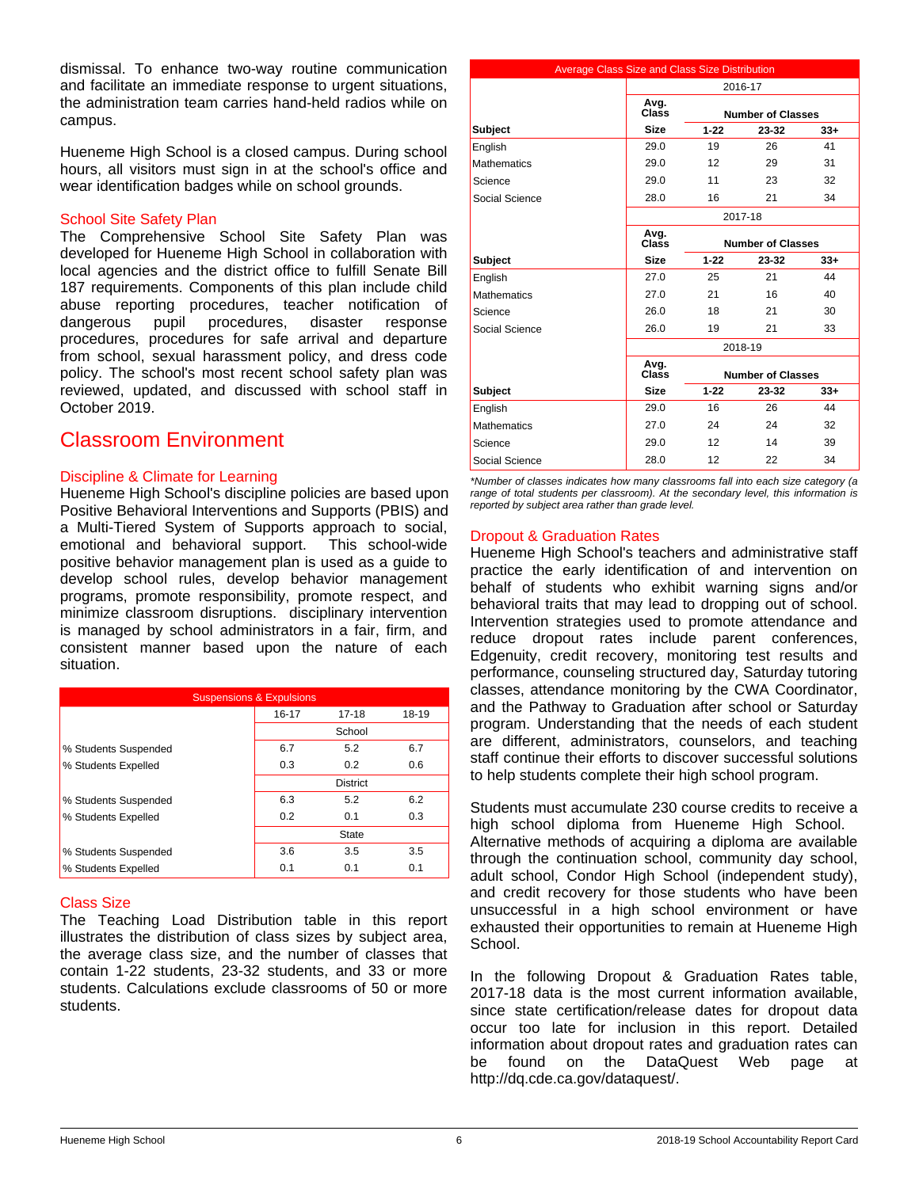dismissal. To enhance two-way routine communication and facilitate an immediate response to urgent situations. the administration team carries hand-held radios while on campus.

Hueneme High School is a closed campus. During school hours, all visitors must sign in at the school's office and wear identification badges while on school grounds.

## School Site Safety Plan

The Comprehensive School Site Safety Plan was developed for Hueneme High School in collaboration with local agencies and the district office to fulfill Senate Bill 187 requirements. Components of this plan include child abuse reporting procedures, teacher notification of dangerous pupil procedures, disaster response dangerous pupil procedures, disaster response procedures, procedures for safe arrival and departure from school, sexual harassment policy, and dress code policy. The school's most recent school safety plan was reviewed, updated, and discussed with school staff in October 2019.

# Classroom Environment

## Discipline & Climate for Learning

Hueneme High School's discipline policies are based upon Positive Behavioral Interventions and Supports (PBIS) and a Multi-Tiered System of Supports approach to social, emotional and behavioral support. This school-wide positive behavior management plan is used as a guide to develop school rules, develop behavior management programs, promote responsibility, promote respect, and minimize classroom disruptions. disciplinary intervention is managed by school administrators in a fair, firm, and consistent manner based upon the nature of each situation.

| <b>Suspensions &amp; Expulsions</b> |       |                 |       |  |
|-------------------------------------|-------|-----------------|-------|--|
|                                     | 16-17 | $17 - 18$       | 18-19 |  |
|                                     |       | School          |       |  |
| % Students Suspended                | 6.7   | 5.2             | 6.7   |  |
| % Students Expelled                 | 0.3   | 0.2             | 0.6   |  |
|                                     |       | <b>District</b> |       |  |
| % Students Suspended                | 6.3   | 5.2             | 6.2   |  |
| % Students Expelled                 | 0.2   | 0.1             | 0.3   |  |
|                                     |       | State           |       |  |
| % Students Suspended                | 3.6   | 3.5             | 3.5   |  |
| % Students Expelled                 | 0.1   | 0.1             | 0.1   |  |

#### Class Size

The Teaching Load Distribution table in this report illustrates the distribution of class sizes by subject area, the average class size, and the number of classes that contain 1-22 students, 23-32 students, and 33 or more students. Calculations exclude classrooms of 50 or more students.

| Average Class Size and Class Size Distribution |               |          |                          |       |  |  |  |
|------------------------------------------------|---------------|----------|--------------------------|-------|--|--|--|
|                                                |               | 2016-17  |                          |       |  |  |  |
|                                                | Avg.<br>Class |          | <b>Number of Classes</b> |       |  |  |  |
| <b>Subject</b>                                 | <b>Size</b>   | $1 - 22$ | 23-32                    | $33+$ |  |  |  |
| English                                        | 29.0          | 19       | 26                       | 41    |  |  |  |
| <b>Mathematics</b>                             | 29.0          | 12       | 29                       | 31    |  |  |  |
| Science                                        | 29.0          | 11       | 23                       | 32    |  |  |  |
| Social Science                                 | 28.0          | 16       | 21                       | 34    |  |  |  |
|                                                |               |          | 2017-18                  |       |  |  |  |
|                                                | Avg.<br>Class |          | <b>Number of Classes</b> |       |  |  |  |
| <b>Subject</b>                                 | <b>Size</b>   | $1 - 22$ | 23-32                    | $33+$ |  |  |  |
| English                                        | 27.0          | 25       | 21                       | 44    |  |  |  |
| <b>Mathematics</b>                             | 27.0          | 21       | 16                       | 40    |  |  |  |
| Science                                        | 26.0          | 18       | 21                       | 30    |  |  |  |
| Social Science                                 | 26.0          | 19       | 21                       | 33    |  |  |  |
|                                                |               |          | 2018-19                  |       |  |  |  |
|                                                | Avg.<br>Class |          | <b>Number of Classes</b> |       |  |  |  |
| <b>Subject</b>                                 | <b>Size</b>   | $1 - 22$ | 23-32                    | $33+$ |  |  |  |
| English                                        | 29.0          | 16       | 26                       | 44    |  |  |  |
| <b>Mathematics</b>                             | 27.0          | 24       | 24                       | 32    |  |  |  |
| Science                                        | 29.0          | 12       | 14                       | 39    |  |  |  |
| Social Science                                 | 28.0          | 12       | 22                       | 34    |  |  |  |

*\*Number of classes indicates how many classrooms fall into each size category (a range of total students per classroom). At the secondary level, this information is reported by subject area rather than grade level.*

## Dropout & Graduation Rates

Hueneme High School's teachers and administrative staff practice the early identification of and intervention on behalf of students who exhibit warning signs and/or behavioral traits that may lead to dropping out of school. Intervention strategies used to promote attendance and reduce dropout rates include parent conferences, Edgenuity, credit recovery, monitoring test results and performance, counseling structured day, Saturday tutoring classes, attendance monitoring by the CWA Coordinator, and the Pathway to Graduation after school or Saturday program. Understanding that the needs of each student are different, administrators, counselors, and teaching staff continue their efforts to discover successful solutions to help students complete their high school program.

Students must accumulate 230 course credits to receive a high school diploma from Hueneme High School. Alternative methods of acquiring a diploma are available through the continuation school, community day school, adult school, Condor High School (independent study), and credit recovery for those students who have been unsuccessful in a high school environment or have exhausted their opportunities to remain at Hueneme High School.

In the following Dropout & Graduation Rates table, 2017-18 data is the most current information available, since state certification/release dates for dropout data occur too late for inclusion in this report. Detailed information about dropout rates and graduation rates can be found on the DataQuest Web page at http://dq.cde.ca.gov/dataquest/.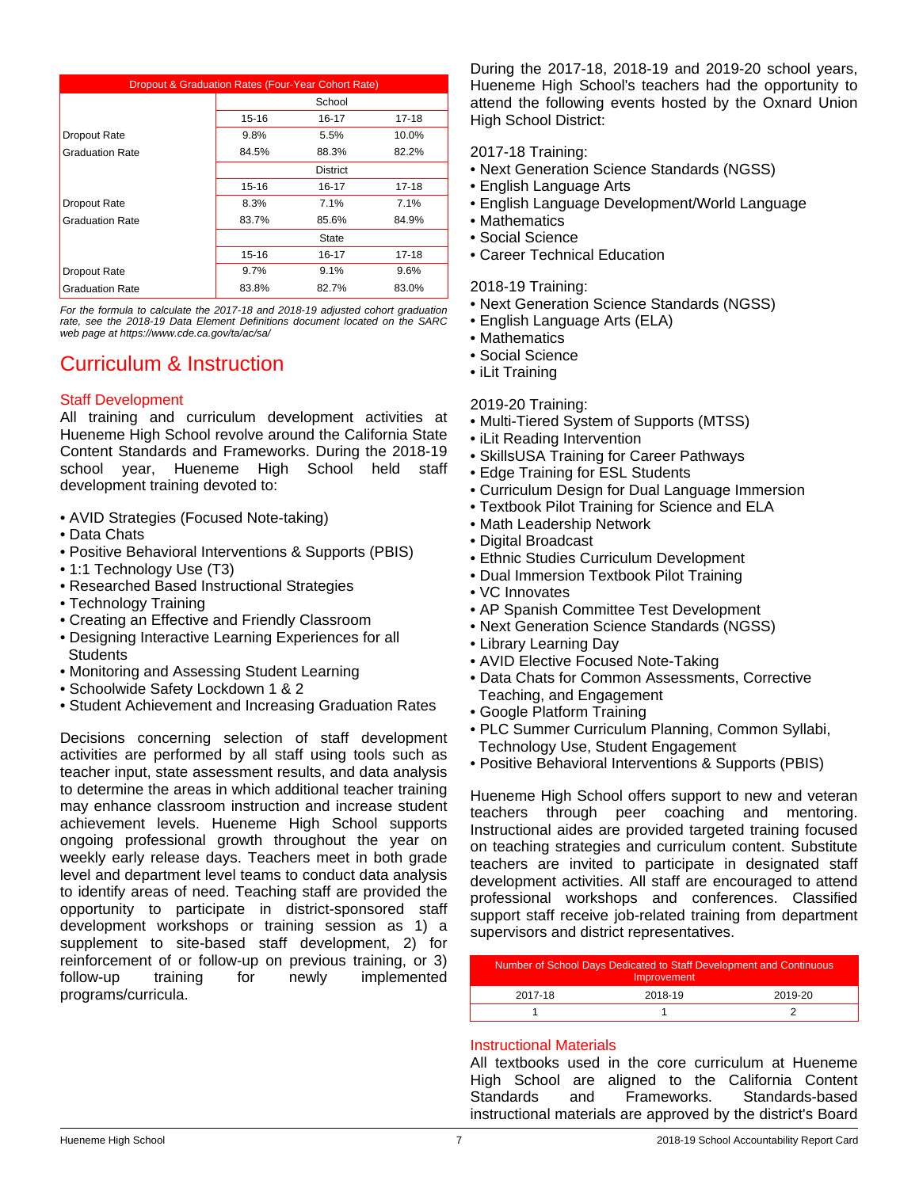| Dropout & Graduation Rates (Four-Year Cohort Rate) |                 |       |           |  |
|----------------------------------------------------|-----------------|-------|-----------|--|
|                                                    | School          |       |           |  |
|                                                    | 15-16           | 16-17 | 17-18     |  |
| Dropout Rate                                       | 9.8%            | 5.5%  | 10.0%     |  |
| <b>Graduation Rate</b>                             | 84.5%           | 88.3% | 82.2%     |  |
|                                                    | <b>District</b> |       |           |  |
|                                                    | $15 - 16$       | 16-17 | $17 - 18$ |  |
| Dropout Rate                                       | 8.3%            | 7.1%  | 7.1%      |  |
| <b>Graduation Rate</b>                             | 83.7%           | 85.6% | 84.9%     |  |
|                                                    |                 | State |           |  |
|                                                    | 15-16           | 16-17 | 17-18     |  |
| Dropout Rate                                       | 9.7%            | 9.1%  | 9.6%      |  |
| <b>Graduation Rate</b>                             | 83.8%           | 82.7% | 83.0%     |  |

*For the formula to calculate the 2017-18 and 2018-19 adjusted cohort graduation rate, see the 2018-19 Data Element Definitions document located on the SARC web page at https://www.cde.ca.gov/ta/ac/sa/*

# Curriculum & Instruction

## Staff Development

All training and curriculum development activities at Hueneme High School revolve around the California State Content Standards and Frameworks. During the 2018-19 school year, Hueneme High School held staff development training devoted to:

- AVID Strategies (Focused Note-taking)
- Data Chats
- Positive Behavioral Interventions & Supports (PBIS)
- 1:1 Technology Use (T3)
- Researched Based Instructional Strategies
- Technology Training
- Creating an Effective and Friendly Classroom
- Designing Interactive Learning Experiences for all **Students**
- Monitoring and Assessing Student Learning
- Schoolwide Safety Lockdown 1 & 2
- Student Achievement and Increasing Graduation Rates

Decisions concerning selection of staff development activities are performed by all staff using tools such as teacher input, state assessment results, and data analysis to determine the areas in which additional teacher training may enhance classroom instruction and increase student achievement levels. Hueneme High School supports ongoing professional growth throughout the year on weekly early release days. Teachers meet in both grade level and department level teams to conduct data analysis to identify areas of need. Teaching staff are provided the opportunity to participate in district-sponsored staff development workshops or training session as 1) a supplement to site-based staff development, 2) for reinforcement of or follow-up on previous training, or 3) follow-up training for newly implemented programs/curricula.

During the 2017-18, 2018-19 and 2019-20 school years, Hueneme High School's teachers had the opportunity to attend the following events hosted by the Oxnard Union High School District:

2017-18 Training:

- Next Generation Science Standards (NGSS)
- English Language Arts
- English Language Development/World Language
- Mathematics
- Social Science
- Career Technical Education

#### 2018-19 Training:

- Next Generation Science Standards (NGSS)
- English Language Arts (ELA)
- Mathematics
- Social Science
- iLit Training

2019-20 Training:

- Multi-Tiered System of Supports (MTSS)
- iLit Reading Intervention
- SkillsUSA Training for Career Pathways
- Edge Training for ESL Students
- Curriculum Design for Dual Language Immersion
- Textbook Pilot Training for Science and ELA
- Math Leadership Network
- Digital Broadcast
- Ethnic Studies Curriculum Development
- Dual Immersion Textbook Pilot Training
- VC Innovates
- AP Spanish Committee Test Development
- Next Generation Science Standards (NGSS)
- Library Learning Day
- AVID Elective Focused Note-Taking
- Data Chats for Common Assessments, Corrective Teaching, and Engagement
- Google Platform Training
- PLC Summer Curriculum Planning, Common Syllabi, Technology Use, Student Engagement
- Positive Behavioral Interventions & Supports (PBIS)

Hueneme High School offers support to new and veteran teachers through peer coaching and mentoring. Instructional aides are provided targeted training focused on teaching strategies and curriculum content. Substitute teachers are invited to participate in designated staff development activities. All staff are encouraged to attend professional workshops and conferences. Classified support staff receive job-related training from department supervisors and district representatives.

| Number of School Days Dedicated to Staff Development and Continuous<br>Improvement |         |         |  |
|------------------------------------------------------------------------------------|---------|---------|--|
| 2017-18                                                                            | 2018-19 | 2019-20 |  |
|                                                                                    |         |         |  |

#### Instructional Materials

All textbooks used in the core curriculum at Hueneme High School are aligned to the California Content Standards and Frameworks. Standards-based instructional materials are approved by the district's Board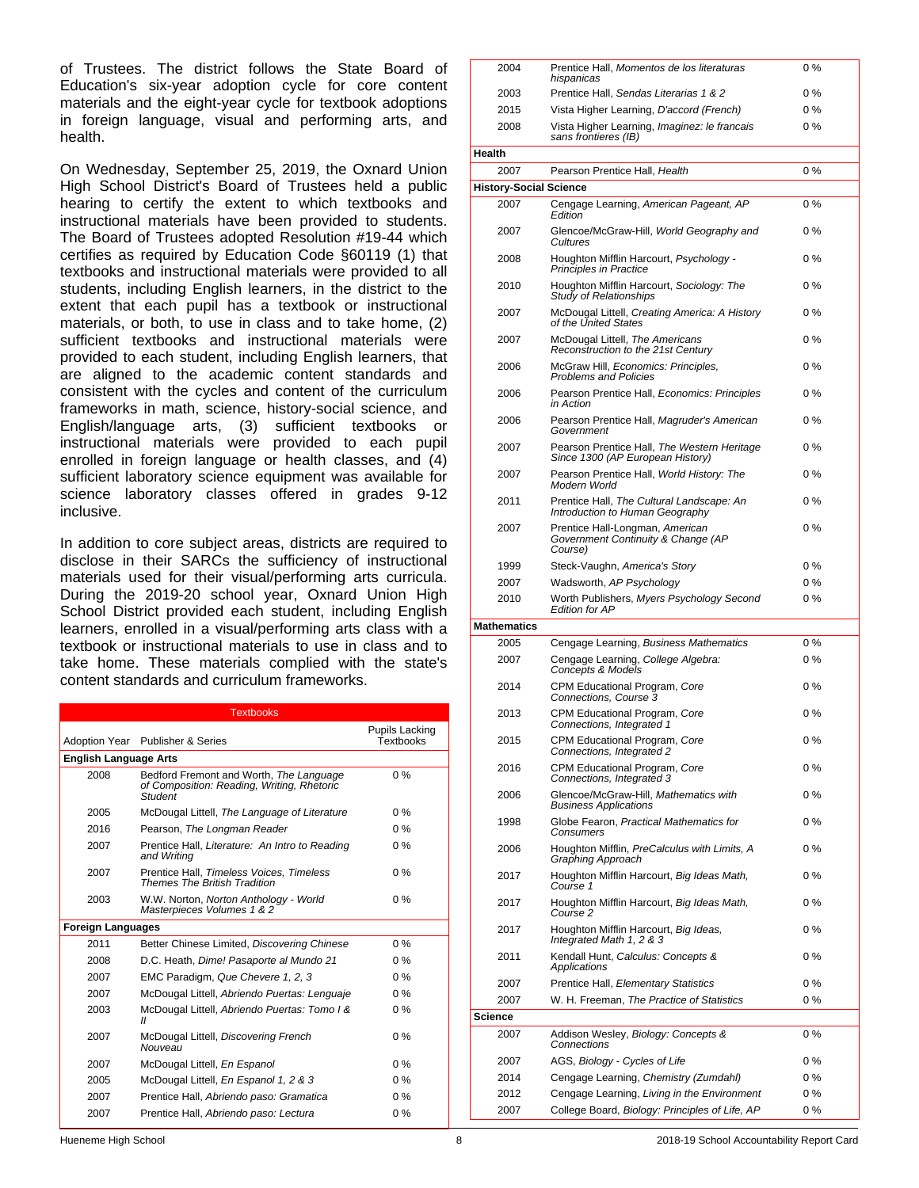of Trustees. The district follows the State Board of Education's six-year adoption cycle for core content materials and the eight-year cycle for textbook adoptions in foreign language, visual and performing arts, and health.

On Wednesday, September 25, 2019, the Oxnard Union High School District's Board of Trustees held a public hearing to certify the extent to which textbooks and instructional materials have been provided to students. The Board of Trustees adopted Resolution #19-44 which certifies as required by Education Code §60119 (1) that textbooks and instructional materials were provided to all students, including English learners, in the district to the extent that each pupil has a textbook or instructional materials, or both, to use in class and to take home, (2) sufficient textbooks and instructional materials were provided to each student, including English learners, that are aligned to the academic content standards and consistent with the cycles and content of the curriculum frameworks in math, science, history-social science, and English/language arts, (3) sufficient textbooks or instructional materials were provided to each pupil enrolled in foreign language or health classes, and (4) sufficient laboratory science equipment was available for science laboratory classes offered in grades 9-12 inclusive.

In addition to core subject areas, districts are required to disclose in their SARCs the sufficiency of instructional materials used for their visual/performing arts curricula. During the 2019-20 school year, Oxnard Union High School District provided each student, including English learners, enrolled in a visual/performing arts class with a textbook or instructional materials to use in class and to take home. These materials complied with the state's content standards and curriculum frameworks.

| <b>Textbooks</b>             |                                                                                                  |                                           |  |  |  |
|------------------------------|--------------------------------------------------------------------------------------------------|-------------------------------------------|--|--|--|
|                              | Adoption Year Publisher & Series                                                                 | <b>Pupils Lacking</b><br><b>Textbooks</b> |  |  |  |
| <b>English Language Arts</b> |                                                                                                  |                                           |  |  |  |
| 2008                         | Bedford Fremont and Worth, The Language<br>of Composition: Reading, Writing, Rhetoric<br>Student | $0\%$                                     |  |  |  |
| 2005                         | McDougal Littell, The Language of Literature                                                     | $0\%$                                     |  |  |  |
| 2016                         | Pearson, The Longman Reader                                                                      | $0\%$                                     |  |  |  |
| 2007                         | Prentice Hall, Literature: An Intro to Reading<br>and Writing                                    | $0\%$                                     |  |  |  |
| 2007                         | Prentice Hall, Timeless Voices, Timeless<br><b>Themes The British Tradition</b>                  | $0\%$                                     |  |  |  |
| 2003                         | W.W. Norton, Norton Anthology - World<br>Masterpieces Volumes 1 & 2                              | $0\%$                                     |  |  |  |
| <b>Foreign Languages</b>     |                                                                                                  |                                           |  |  |  |
| 2011                         | Better Chinese Limited, Discovering Chinese                                                      | $0\%$                                     |  |  |  |
| 2008                         | D.C. Heath, Dime! Pasaporte al Mundo 21                                                          | $0\%$                                     |  |  |  |
| 2007                         | EMC Paradigm, Que Chevere 1, 2, 3                                                                | $0\%$                                     |  |  |  |
| 2007                         | McDougal Littell, Abriendo Puertas: Lenguaje                                                     | $0\%$                                     |  |  |  |
| 2003                         | McDougal Littell, Abriendo Puertas: Tomo I &<br>$\mathbf{u}$                                     | $0\%$                                     |  |  |  |
| 2007                         | McDougal Littell, Discovering French<br>Nouveau                                                  | $0\%$                                     |  |  |  |
| 2007                         | McDougal Littell, En Espanol                                                                     | $0\%$                                     |  |  |  |
| 2005                         | McDougal Littell, En Espanol 1, 2 & 3                                                            | $0\%$                                     |  |  |  |
| 2007                         | Prentice Hall, Abriendo paso: Gramatica                                                          | $0\%$                                     |  |  |  |
| 2007                         | Prentice Hall, Abriendo paso: Lectura                                                            | $0\%$                                     |  |  |  |

| ZUU4                          | Fiernice Hall, <i>Munierlius de lus literaturas</i><br>hispanicas                | <b>U</b> 70 |
|-------------------------------|----------------------------------------------------------------------------------|-------------|
| 2003                          | Prentice Hall, Sendas Literarias 1 & 2                                           | 0%          |
| 2015                          | Vista Higher Learning, D'accord (French)                                         | 0%          |
| 2008                          | Vista Higher Learning, Imaginez: le francais<br>sans frontieres (IB)             | 0%          |
| Health                        |                                                                                  |             |
| 2007                          | Pearson Prentice Hall, Health                                                    | 0%          |
| <b>History-Social Science</b> |                                                                                  |             |
| 2007                          | Cengage Learning, American Pageant, AP<br>Edition                                | $0\%$       |
| 2007                          | Glencoe/McGraw-Hill, World Geography and<br>Cultures                             | 0%          |
| 2008                          | Houghton Mifflin Harcourt, Psychology -<br><b>Principles in Practice</b>         | $0\%$       |
| 2010                          | Houghton Mifflin Harcourt, Sociology: The<br><b>Study of Relationships</b>       | $0\%$       |
| 2007                          | McDougal Littell, Creating America: A History<br>of the United States            | $0\%$       |
| 2007                          | McDougal Littell, The Americans<br>Reconstruction to the 21st Century            | $0\%$       |
| 2006                          | McGraw Hill, Economics: Principles,<br><b>Problems and Policies</b>              | $0\%$       |
| 2006                          | Pearson Prentice Hall, Economics: Principles<br>in Action                        | $0\%$       |
| 2006                          | Pearson Prentice Hall, Magruder's American<br>Government                         | $0\%$       |
| 2007                          | Pearson Prentice Hall, The Western Heritage<br>Since 1300 (AP European History)  | $0\%$       |
| 2007                          | Pearson Prentice Hall, World History: The<br>Modern World                        | $0\%$       |
| 2011                          | Prentice Hall, The Cultural Landscape: An<br>Introduction to Human Geography     | $0\%$       |
| 2007                          | Prentice Hall-Longman, American<br>Government Continuity & Change (AP<br>Course) | $0\%$       |
| 1999                          | Steck-Vaughn, America's Story                                                    | 0%          |
| 2007                          | Wadsworth, AP Psychology                                                         | 0 %         |
| 2010                          | Worth Publishers, Myers Psychology Second<br><b>Edition for AP</b>               | 0%          |
| <b>Mathematics</b>            |                                                                                  |             |
| 2005                          | Cengage Learning, Business Mathematics                                           | 0 %         |
| 2007                          | Cengage Learning, College Algebra:<br><b>Concepts &amp; Models</b>               | $0\%$       |
| 2014                          | CPM Educational Program, Core<br>Connections, Course 3                           | $0\%$       |
| 2013                          | CPM Educational Program, Core<br>Connections, Integrated 1                       | 0 %         |
| 2015                          | CPM Educational Program, Core<br>Connections, Integrated 2                       | 0%          |
| 2016                          | CPM Educational Program, Core<br>Connections, Integrated 3                       | 0%          |
| 2006                          | Glencoe/McGraw-Hill, Mathematics with<br><b>Business Applications</b>            | $0\%$       |
| 1998                          | Globe Fearon, Practical Mathematics for<br>Consumers                             | $0\%$       |
| 2006                          | Houghton Mifflin, PreCalculus with Limits, A<br>Graphing Approach                | $0\%$       |
| 2017                          | Houghton Mifflin Harcourt, Big Ideas Math,<br>Course 1                           | $0\%$       |
| 2017                          | Houghton Mifflin Harcourt, Big Ideas Math,<br>Course 2                           | $0\%$       |
| 2017                          | Houghton Mifflin Harcourt, Big Ideas,<br>Integrated Math 1, 2 & 3                | $0\%$       |
| 2011                          | Kendall Hunt, Calculus: Concepts &<br>Applications                               | $0\%$       |
| 2007                          | Prentice Hall, Elementary Statistics                                             | 0 %         |
| 2007<br>Science               | W. H. Freeman, The Practice of Statistics                                        | $0\%$       |
| 2007                          | Addison Wesley, Biology: Concepts &                                              | 0%          |
|                               | Connections                                                                      |             |
| 2007                          | AGS, Biology - Cycles of Life                                                    | 0%          |
| 2014                          | Cengage Learning, Chemistry (Zumdahl)                                            | 0 %         |
| 2012                          | Cengage Learning, Living in the Environment                                      | 0 %         |
| 2007                          | College Board, Biology: Principles of Life, AP                                   | 0 %         |

2004 Prentice Hall, *Momentos de los literaturas*

 $0<sup>0</sup>$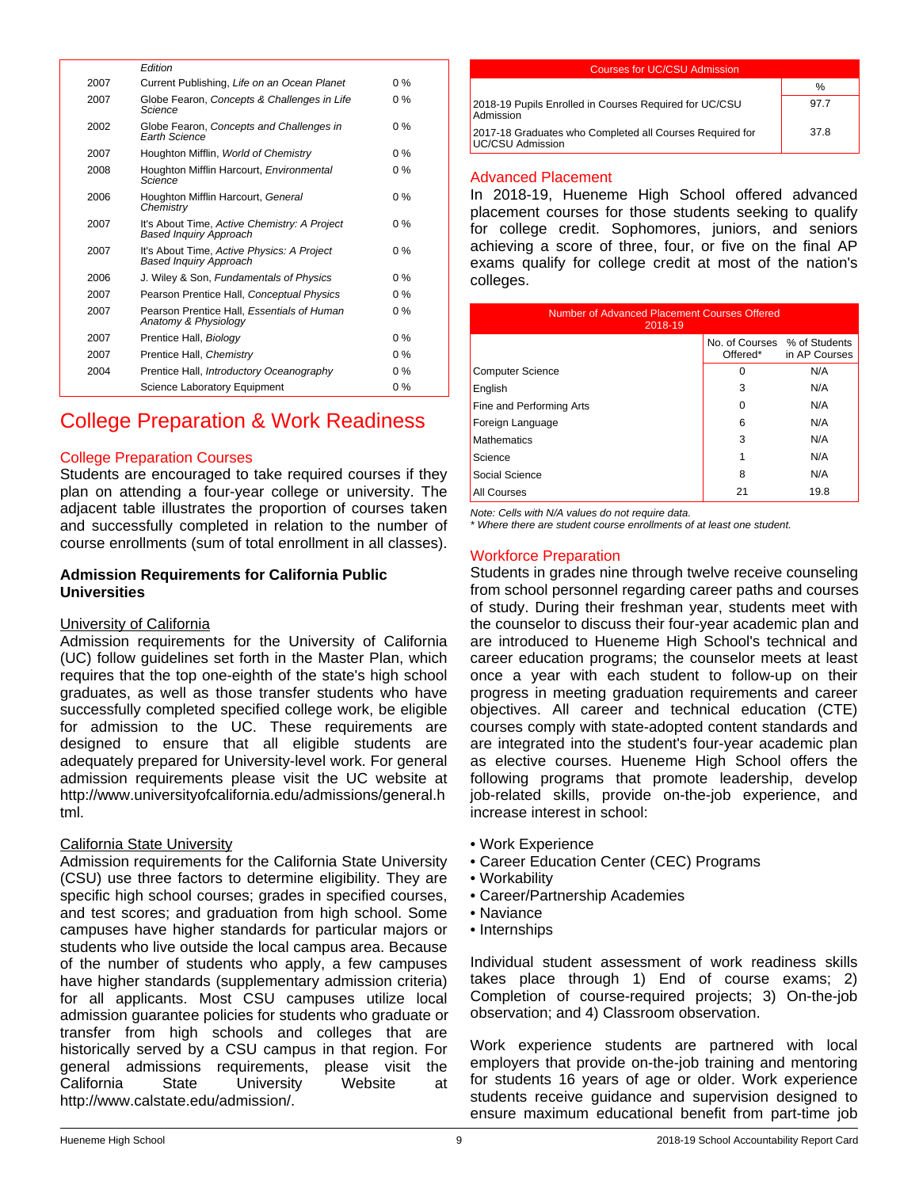|      | Edition                                                                       |       |
|------|-------------------------------------------------------------------------------|-------|
| 2007 | Current Publishing, Life on an Ocean Planet                                   | $0\%$ |
| 2007 | Globe Fearon, Concepts & Challenges in Life<br>Science                        | $0\%$ |
| 2002 | Globe Fearon, Concepts and Challenges in<br><b>Earth Science</b>              | $0\%$ |
| 2007 | Houghton Mifflin, World of Chemistry                                          | $0\%$ |
| 2008 | Houghton Mifflin Harcourt, Environmental<br>Science                           | $0\%$ |
| 2006 | Houghton Mifflin Harcourt, General<br>Chemistry                               | $0\%$ |
| 2007 | It's About Time, Active Chemistry: A Project<br><b>Based Inquiry Approach</b> | $0\%$ |
| 2007 | It's About Time, Active Physics: A Project<br><b>Based Inquiry Approach</b>   | $0\%$ |
| 2006 | J. Wiley & Son, Fundamentals of Physics                                       | $0\%$ |
| 2007 | Pearson Prentice Hall, Conceptual Physics                                     | $0\%$ |
| 2007 | Pearson Prentice Hall, Essentials of Human<br>Anatomy & Physiology            | $0\%$ |
| 2007 | Prentice Hall, Biology                                                        | $0\%$ |
| 2007 | Prentice Hall, Chemistry                                                      | $0\%$ |
| 2004 | Prentice Hall, Introductory Oceanography                                      | $0\%$ |
|      | Science Laboratory Equipment                                                  | $0\%$ |
|      |                                                                               |       |

# College Preparation & Work Readiness

## College Preparation Courses

Students are encouraged to take required courses if they plan on attending a four-year college or university. The adjacent table illustrates the proportion of courses taken and successfully completed in relation to the number of course enrollments (sum of total enrollment in all classes).

#### **Admission Requirements for California Public Universities**

#### University of California

Admission requirements for the University of California (UC) follow guidelines set forth in the Master Plan, which requires that the top one-eighth of the state's high school graduates, as well as those transfer students who have successfully completed specified college work, be eligible for admission to the UC. These requirements are designed to ensure that all eligible students are adequately prepared for University-level work. For general admission requirements please visit the UC website at http://www.universityofcalifornia.edu/admissions/general.h tml.

#### California State University

Admission requirements for the California State University (CSU) use three factors to determine eligibility. They are specific high school courses; grades in specified courses, and test scores; and graduation from high school. Some campuses have higher standards for particular majors or students who live outside the local campus area. Because of the number of students who apply, a few campuses have higher standards (supplementary admission criteria) for all applicants. Most CSU campuses utilize local admission guarantee policies for students who graduate or transfer from high schools and colleges that are historically served by a CSU campus in that region. For general admissions requirements, please visit the<br>California State University Website at California State University Website at http://www.calstate.edu/admission/.

| Courses for UC/CSU Admission                                                        |      |  |
|-------------------------------------------------------------------------------------|------|--|
|                                                                                     | $\%$ |  |
| 2018-19 Pupils Enrolled in Courses Required for UC/CSU<br>Admission                 | 97.7 |  |
| 2017-18 Graduates who Completed all Courses Required for<br><b>UC/CSU Admission</b> | 37 8 |  |
|                                                                                     |      |  |

#### Advanced Placement

In 2018-19, Hueneme High School offered advanced placement courses for those students seeking to qualify for college credit. Sophomores, juniors, and seniors achieving a score of three, four, or five on the final AP exams qualify for college credit at most of the nation's colleges.

| Number of Advanced Placement Courses Offered<br>2018-19   |          |      |  |
|-----------------------------------------------------------|----------|------|--|
| No. of Courses % of Students<br>Offered*<br>in AP Courses |          |      |  |
| <b>Computer Science</b>                                   | $\Omega$ | N/A  |  |
| English                                                   | 3        | N/A  |  |
| Fine and Performing Arts                                  | $\Omega$ | N/A  |  |
| Foreign Language                                          | 6        | N/A  |  |
| <b>Mathematics</b>                                        | 3        | N/A  |  |
| Science                                                   | 1        | N/A  |  |
| Social Science                                            | 8        | N/A  |  |
| <b>All Courses</b>                                        | 21       | 19.8 |  |

*Note: Cells with N/A values do not require data.*

*\* Where there are student course enrollments of at least one student.*

## Workforce Preparation

Students in grades nine through twelve receive counseling from school personnel regarding career paths and courses of study. During their freshman year, students meet with the counselor to discuss their four-year academic plan and are introduced to Hueneme High School's technical and career education programs; the counselor meets at least once a year with each student to follow-up on their progress in meeting graduation requirements and career objectives. All career and technical education (CTE) courses comply with state-adopted content standards and are integrated into the student's four-year academic plan as elective courses. Hueneme High School offers the following programs that promote leadership, develop job-related skills, provide on-the-job experience, and increase interest in school:

- Work Experience
- Career Education Center (CEC) Programs
- Workability
- Career/Partnership Academies
- Naviance
- Internships

Individual student assessment of work readiness skills takes place through 1) End of course exams; 2) Completion of course-required projects; 3) On-the-job observation; and 4) Classroom observation.

Work experience students are partnered with local employers that provide on-the-job training and mentoring for students 16 years of age or older. Work experience students receive guidance and supervision designed to ensure maximum educational benefit from part-time job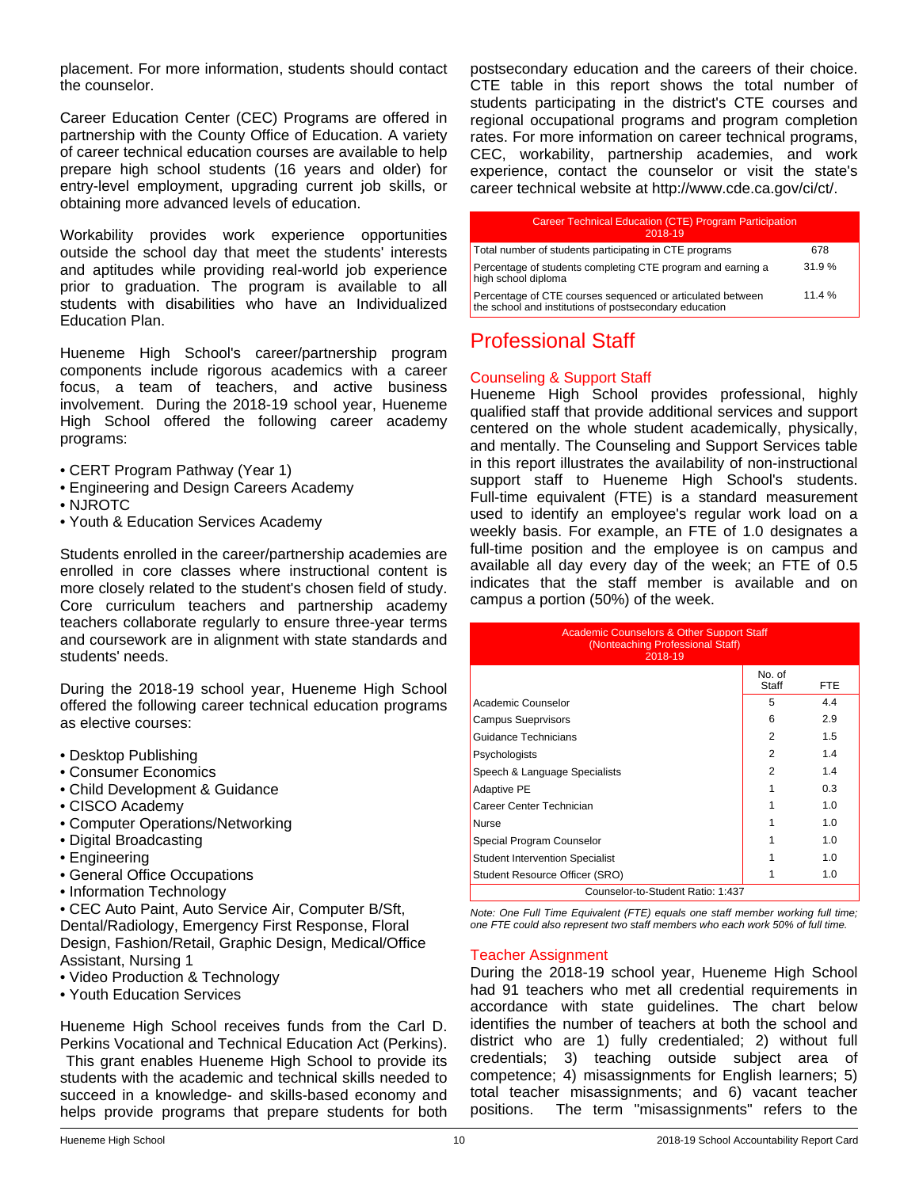placement. For more information, students should contact the counselor.

Career Education Center (CEC) Programs are offered in partnership with the County Office of Education. A variety of career technical education courses are available to help prepare high school students (16 years and older) for entry-level employment, upgrading current job skills, or obtaining more advanced levels of education.

Workability provides work experience opportunities outside the school day that meet the students' interests and aptitudes while providing real-world job experience prior to graduation. The program is available to all students with disabilities who have an Individualized Education Plan.

Hueneme High School's career/partnership program components include rigorous academics with a career focus, a team of teachers, and active business involvement. During the 2018-19 school year, Hueneme High School offered the following career academy programs:

- CERT Program Pathway (Year 1)
- Engineering and Design Careers Academy
- NJROTC
- Youth & Education Services Academy

Students enrolled in the career/partnership academies are enrolled in core classes where instructional content is more closely related to the student's chosen field of study. Core curriculum teachers and partnership academy teachers collaborate regularly to ensure three-year terms and coursework are in alignment with state standards and students' needs.

During the 2018-19 school year, Hueneme High School offered the following career technical education programs as elective courses:

- Desktop Publishing
- Consumer Economics
- Child Development & Guidance
- CISCO Academy
- Computer Operations/Networking
- Digital Broadcasting
- Engineering
- General Office Occupations
- Information Technology
- CEC Auto Paint, Auto Service Air, Computer B/Sft, Dental/Radiology, Emergency First Response, Floral Design, Fashion/Retail, Graphic Design, Medical/Office Assistant, Nursing 1
- Video Production & Technology
- Youth Education Services

Hueneme High School receives funds from the Carl D. Perkins Vocational and Technical Education Act (Perkins). This grant enables Hueneme High School to provide its students with the academic and technical skills needed to succeed in a knowledge- and skills-based economy and helps provide programs that prepare students for both postsecondary education and the careers of their choice. CTE table in this report shows the total number of students participating in the district's CTE courses and regional occupational programs and program completion rates. For more information on career technical programs, CEC, workability, partnership academies, and work experience, contact the counselor or visit the state's career technical website at http://www.cde.ca.gov/ci/ct/.

| <b>Career Technical Education (CTE) Program Participation</b><br>2018-19                                             |       |
|----------------------------------------------------------------------------------------------------------------------|-------|
| Total number of students participating in CTE programs                                                               | 678   |
| Percentage of students completing CTE program and earning a<br>high school diploma                                   | 31.9% |
| Percentage of CTE courses sequenced or articulated between<br>the school and institutions of postsecondary education | 11.4% |

# Professional Staff

## Counseling & Support Staff

Hueneme High School provides professional, highly qualified staff that provide additional services and support centered on the whole student academically, physically, and mentally. The Counseling and Support Services table in this report illustrates the availability of non-instructional support staff to Hueneme High School's students. Full-time equivalent (FTE) is a standard measurement used to identify an employee's regular work load on a weekly basis. For example, an FTE of 1.0 designates a full-time position and the employee is on campus and available all day every day of the week; an FTE of 0.5 indicates that the staff member is available and on campus a portion (50%) of the week.

| <b>Academic Counselors &amp; Other Support Staff</b><br>(Nonteaching Professional Staff)<br>2018-19 |                 |      |  |
|-----------------------------------------------------------------------------------------------------|-----------------|------|--|
|                                                                                                     | No. of<br>Staff | FTE. |  |
| Academic Counselor                                                                                  | 5               | 4.4  |  |
| <b>Campus Sueprvisors</b>                                                                           | 6               | 2.9  |  |
| Guidance Technicians                                                                                | 2               | 1.5  |  |
| Psychologists                                                                                       | 2               | 1.4  |  |
| Speech & Language Specialists                                                                       | 2               | 1.4  |  |
| <b>Adaptive PE</b>                                                                                  |                 | 0.3  |  |
| Career Center Technician                                                                            |                 | 1.0  |  |
| <b>Nurse</b>                                                                                        |                 | 1.0  |  |
| Special Program Counselor                                                                           |                 | 1.0  |  |
| <b>Student Intervention Specialist</b>                                                              |                 | 1.0  |  |
| Student Resource Officer (SRO)                                                                      |                 | 1.0  |  |
| Counselor-to-Student Ratio: 1:437                                                                   |                 |      |  |

*Note: One Full Time Equivalent (FTE) equals one staff member working full time; one FTE could also represent two staff members who each work 50% of full time.*

#### Teacher Assignment

During the 2018-19 school year, Hueneme High School had 91 teachers who met all credential requirements in accordance with state guidelines. The chart below identifies the number of teachers at both the school and district who are 1) fully credentialed; 2) without full credentials; 3) teaching outside subject area of competence; 4) misassignments for English learners; 5) total teacher misassignments; and 6) vacant teacher positions. The term "misassignments" refers to the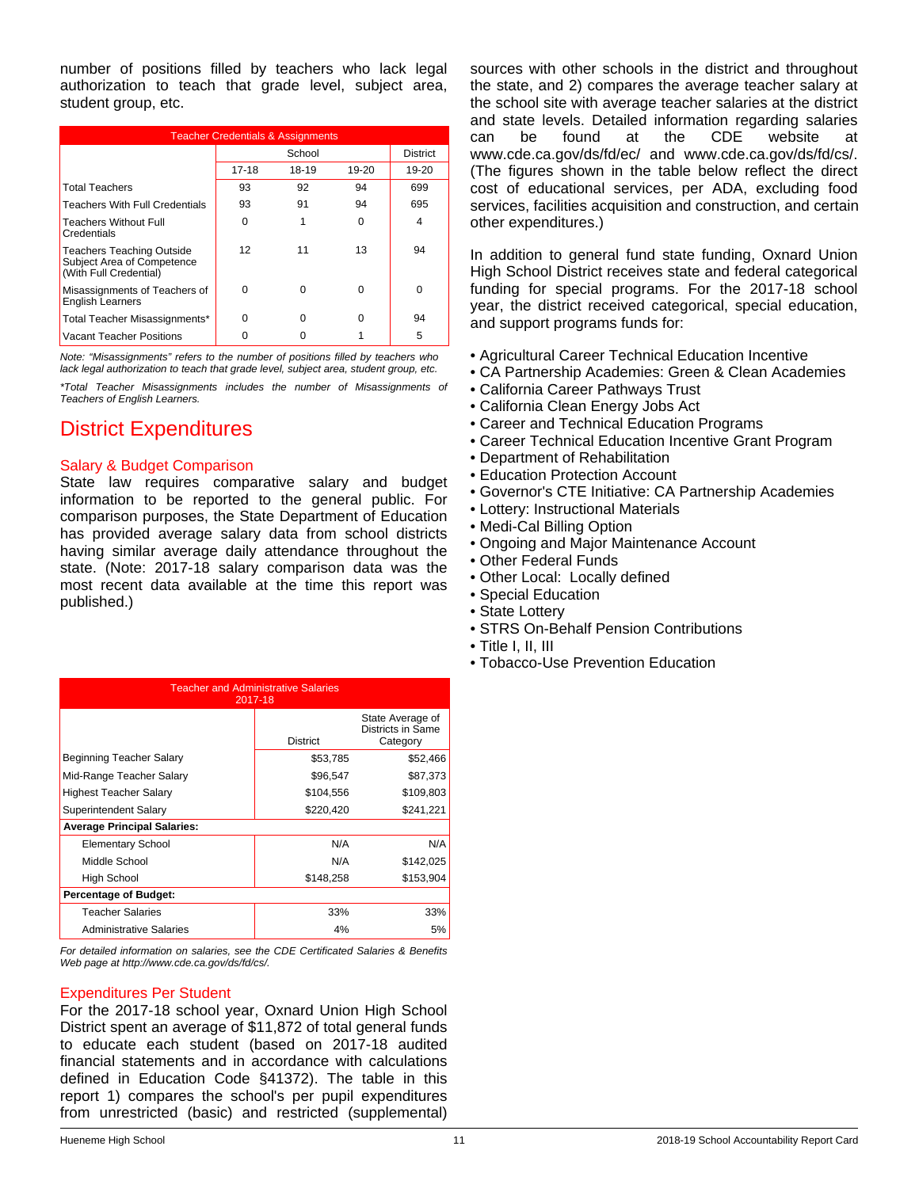number of positions filled by teachers who lack legal authorization to teach that grade level, subject area, student group, etc.

| <b>Teacher Credentials &amp; Assignments</b>                                             |       |        |           |                 |
|------------------------------------------------------------------------------------------|-------|--------|-----------|-----------------|
|                                                                                          |       | School |           | <b>District</b> |
|                                                                                          | 17-18 | 18-19  | $19 - 20$ | 19-20           |
| <b>Total Teachers</b>                                                                    | 93    | 92     | 94        | 699             |
| <b>Teachers With Full Credentials</b>                                                    | 93    | 91     | 94        | 695             |
| <b>Teachers Without Full</b><br>Credentials                                              | O     |        | 0         | 4               |
| <b>Teachers Teaching Outside</b><br>Subject Area of Competence<br>(With Full Credential) | 12    | 11     | 13        | 94              |
| Misassignments of Teachers of<br><b>English Learners</b>                                 | O     | ∩      | O         | O               |
| Total Teacher Misassignments*                                                            | O     | n      | O         | 94              |
| <b>Vacant Teacher Positions</b>                                                          |       |        |           | 5               |

*Note: "Misassignments" refers to the number of positions filled by teachers who lack legal authorization to teach that grade level, subject area, student group, etc.*

*\*Total Teacher Misassignments includes the number of Misassignments of Teachers of English Learners.*

# District Expenditures

## Salary & Budget Comparison

State law requires comparative salary and budget information to be reported to the general public. For comparison purposes, the State Department of Education has provided average salary data from school districts having similar average daily attendance throughout the state. (Note: 2017-18 salary comparison data was the most recent data available at the time this report was published.)

| <b>Teacher and Administrative Salaries</b><br>2017-18 |                 |                                                   |  |  |
|-------------------------------------------------------|-----------------|---------------------------------------------------|--|--|
|                                                       | <b>District</b> | State Average of<br>Districts in Same<br>Category |  |  |
| Beginning Teacher Salary                              | \$53,785        | \$52,466                                          |  |  |
| Mid-Range Teacher Salary                              | \$96,547        | \$87,373                                          |  |  |
| <b>Highest Teacher Salary</b>                         | \$104,556       | \$109,803                                         |  |  |
| Superintendent Salary                                 | \$220,420       | \$241,221                                         |  |  |
| <b>Average Principal Salaries:</b>                    |                 |                                                   |  |  |
| <b>Elementary School</b>                              | N/A             | N/A                                               |  |  |
| Middle School                                         | N/A             | \$142,025                                         |  |  |
| High School                                           | \$148,258       | \$153,904                                         |  |  |
| <b>Percentage of Budget:</b>                          |                 |                                                   |  |  |
| <b>Teacher Salaries</b>                               | 33%             | 33%                                               |  |  |
| Administrative Salaries                               | 4%              | 5%                                                |  |  |

*For detailed information on salaries, see the CDE Certificated Salaries & Benefits Web page at http://www.cde.ca.gov/ds/fd/cs/.*

#### Expenditures Per Student

For the 2017-18 school year, Oxnard Union High School District spent an average of \$11,872 of total general funds to educate each student (based on 2017-18 audited financial statements and in accordance with calculations defined in Education Code §41372). The table in this report 1) compares the school's per pupil expenditures from unrestricted (basic) and restricted (supplemental)

sources with other schools in the district and throughout the state, and 2) compares the average teacher salary at the school site with average teacher salaries at the district and state levels. Detailed information regarding salaries can be found at the CDE website at www.cde.ca.gov/ds/fd/ec/ and www.cde.ca.gov/ds/fd/cs/. (The figures shown in the table below reflect the direct cost of educational services, per ADA, excluding food services, facilities acquisition and construction, and certain other expenditures.)

In addition to general fund state funding, Oxnard Union High School District receives state and federal categorical funding for special programs. For the 2017-18 school year, the district received categorical, special education, and support programs funds for:

- Agricultural Career Technical Education Incentive
- CA Partnership Academies: Green & Clean Academies
- California Career Pathways Trust
- California Clean Energy Jobs Act
- Career and Technical Education Programs
- Career Technical Education Incentive Grant Program
- Department of Rehabilitation
- Education Protection Account
- Governor's CTE Initiative: CA Partnership Academies
- Lottery: Instructional Materials
- Medi-Cal Billing Option
- Ongoing and Major Maintenance Account
- Other Federal Funds
- Other Local: Locally defined
- Special Education
- State Lottery
- STRS On-Behalf Pension Contributions
- Title I, II, III
- Tobacco-Use Prevention Education